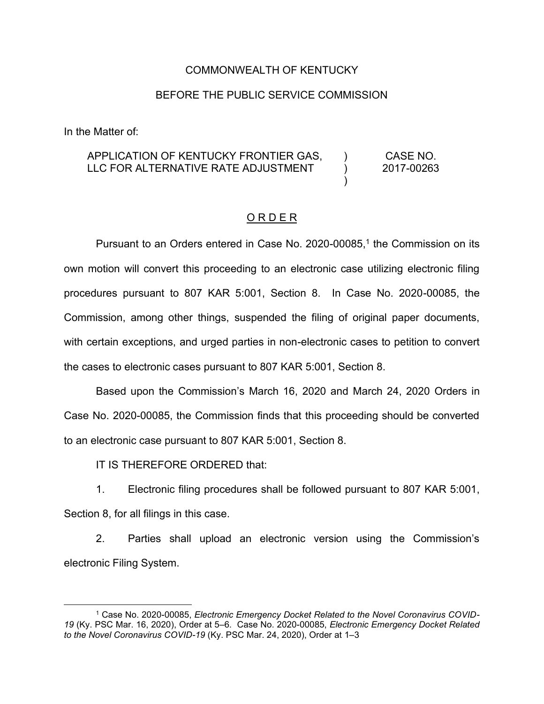## COMMONWEALTH OF KENTUCKY

## BEFORE THE PUBLIC SERVICE COMMISSION

In the Matter of:

## APPLICATION OF KENTUCKY FRONTIER GAS, LLC FOR ALTERNATIVE RATE ADJUSTMENT ) ) ) CASE NO. 2017-00263

## O R D E R

Pursuant to an Orders entered in Case No. 2020-00085,<sup>1</sup> the Commission on its own motion will convert this proceeding to an electronic case utilizing electronic filing procedures pursuant to 807 KAR 5:001, Section 8. In Case No. 2020-00085, the Commission, among other things, suspended the filing of original paper documents, with certain exceptions, and urged parties in non-electronic cases to petition to convert the cases to electronic cases pursuant to 807 KAR 5:001, Section 8.

Based upon the Commission's March 16, 2020 and March 24, 2020 Orders in Case No. 2020-00085, the Commission finds that this proceeding should be converted to an electronic case pursuant to 807 KAR 5:001, Section 8.

IT IS THEREFORE ORDERED that:

1. Electronic filing procedures shall be followed pursuant to 807 KAR 5:001, Section 8, for all filings in this case.

2. Parties shall upload an electronic version using the Commission's electronic Filing System.

<sup>1</sup> Case No. 2020-00085, *Electronic Emergency Docket Related to the Novel Coronavirus COVID-19* (Ky. PSC Mar. 16, 2020), Order at 5–6. Case No. 2020-00085, *Electronic Emergency Docket Related to the Novel Coronavirus COVID-19* (Ky. PSC Mar. 24, 2020), Order at 1–3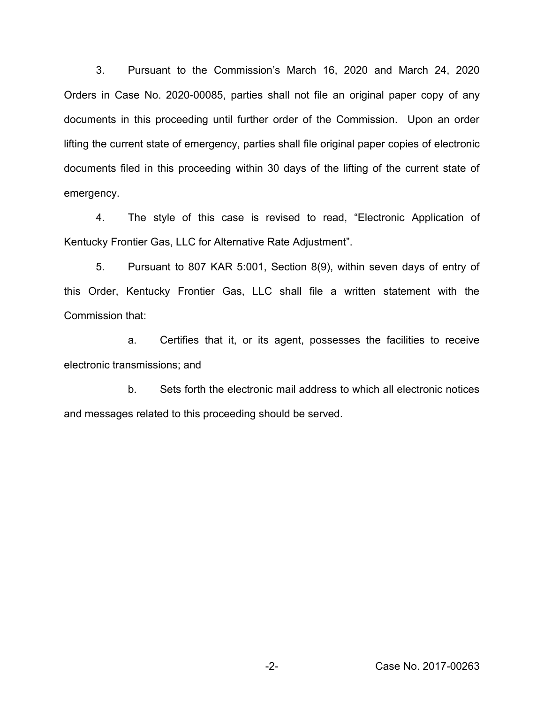3. Pursuant to the Commission's March 16, 2020 and March 24, 2020 Orders in Case No. 2020-00085, parties shall not file an original paper copy of any documents in this proceeding until further order of the Commission. Upon an order lifting the current state of emergency, parties shall file original paper copies of electronic documents filed in this proceeding within 30 days of the lifting of the current state of emergency.

4. The style of this case is revised to read, "Electronic Application of Kentucky Frontier Gas, LLC for Alternative Rate Adjustment".

5. Pursuant to 807 KAR 5:001, Section 8(9), within seven days of entry of this Order, Kentucky Frontier Gas, LLC shall file a written statement with the Commission that:

a. Certifies that it, or its agent, possesses the facilities to receive electronic transmissions; and

b. Sets forth the electronic mail address to which all electronic notices and messages related to this proceeding should be served.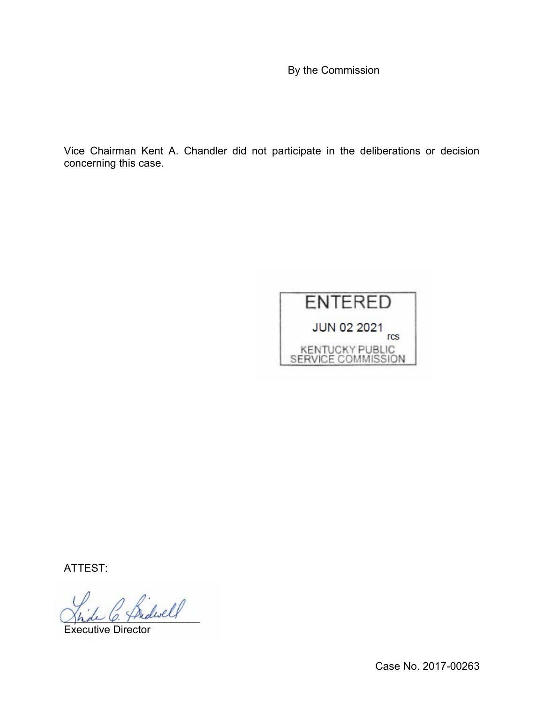By the Commission

Vice Chairman Kent A. Chandler did not participate in the deliberations or decision concerning this case.



ATTEST:

 $\mathcal{L}_\mathit{dust}$ 

Executive Director

Case No. 2017-00263